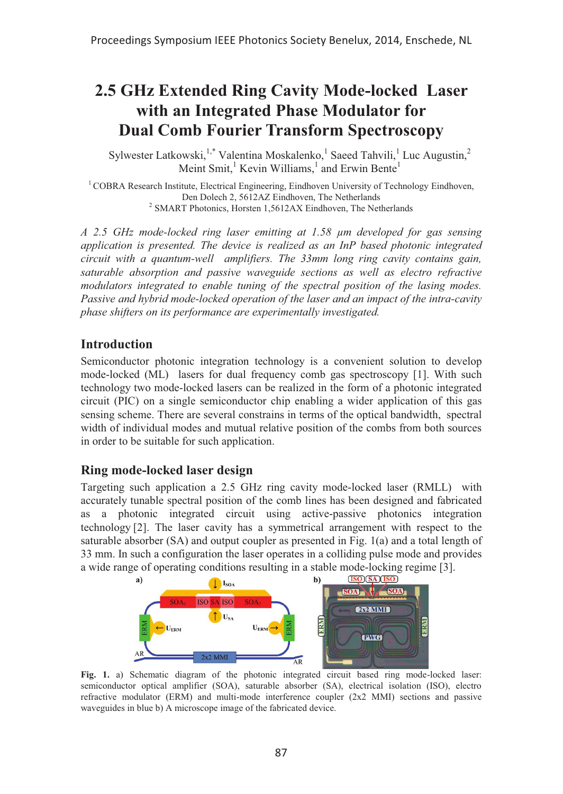# **2.5 GHz Extended Ring Cavity Mode-locked Laser with an Integrated Phase Modulator for Dual Comb Fourier Transform Spectroscopy**

Sylwester Latkowski,<sup>1,\*</sup> Valentina Moskalenko,<sup>1</sup> Saeed Tahvili,<sup>1</sup> Luc Augustin,<sup>2</sup> Meint Smit,<sup>1</sup> Kevin Williams,<sup>1</sup> and Erwin Bente<sup>1</sup>

 $1$ COBRA Research Institute, Electrical Engineering, Eindhoven University of Technology Eindhoven, Den Dolech 2, 5612AZ Eindhoven, The Netherlands  $2$  SMART Photonics, Horsten 1,5612AX Eindhoven, The Netherlands

*A 2.5 GHz mode-locked ring laser emitting at 1.58 μm developed for gas sensing application is presented. The device is realized as an InP based photonic integrated circuit with a quantum-well amplifiers. The 33mm long ring cavity contains gain, saturable absorption and passive waveguide sections as well as electro refractive modulators integrated to enable tuning of the spectral position of the lasing modes. Passive and hybrid mode-locked operation of the laser and an impact of the intra-cavity phase shifters on its performance are experimentally investigated.* 

### **Introduction**

Semiconductor photonic integration technology is a convenient solution to develop mode-locked (ML) lasers for dual frequency comb gas spectroscopy [1]. With such technology two mode-locked lasers can be realized in the form of a photonic integrated circuit (PIC) on a single semiconductor chip enabling a wider application of this gas sensing scheme. There are several constrains in terms of the optical bandwidth, spectral width of individual modes and mutual relative position of the combs from both sources in order to be suitable for such application.

## **Ring mode-locked laser design**

Targeting such application a 2.5 GHz ring cavity mode-locked laser (RMLL) with accurately tunable spectral position of the comb lines has been designed and fabricated as a photonic integrated circuit using active-passive photonics integration technology [2]. The laser cavity has a symmetrical arrangement with respect to the saturable absorber (SA) and output coupler as presented in Fig. 1(a) and a total length of 33 mm. In such a configuration the laser operates in a colliding pulse mode and provides a wide range of operating conditions resulting in a stable mode-locking regime [3].



Fig. 1. a) Schematic diagram of the photonic integrated circuit based ring mode-locked laser: semiconductor optical amplifier (SOA), saturable absorber (SA), electrical isolation (ISO), electro refractive modulator (ERM) and multi-mode interference coupler (2x2 MMI) sections and passive waveguides in blue b) A microscope image of the fabricated device.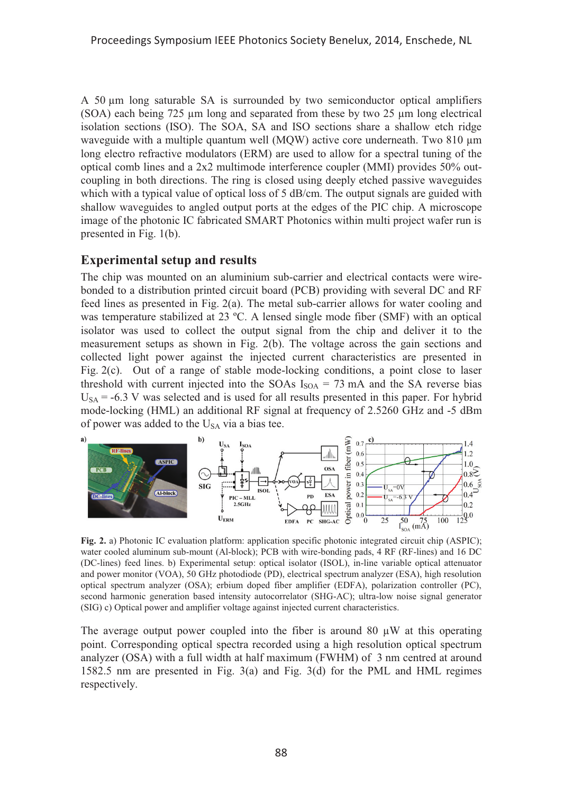A 50 μm long saturable SA is surrounded by two semiconductor optical amplifiers (SOA) each being 725 μm long and separated from these by two 25 μm long electrical isolation sections (ISO). The SOA, SA and ISO sections share a shallow etch ridge waveguide with a multiple quantum well (MQW) active core underneath. Two 810 μm long electro refractive modulators (ERM) are used to allow for a spectral tuning of the optical comb lines and a 2x2 multimode interference coupler (MMI) provides 50% outcoupling in both directions. The ring is closed using deeply etched passive waveguides which with a typical value of optical loss of 5 dB/cm. The output signals are guided with shallow waveguides to angled output ports at the edges of the PIC chip. A microscope image of the photonic IC fabricated SMART Photonics within multi project wafer run is presented in Fig. 1(b).

## **Experimental setup and results**

The chip was mounted on an aluminium sub-carrier and electrical contacts were wirebonded to a distribution printed circuit board (PCB) providing with several DC and RF feed lines as presented in Fig. 2(a). The metal sub-carrier allows for water cooling and was temperature stabilized at 23 ºC. A lensed single mode fiber (SMF) with an optical isolator was used to collect the output signal from the chip and deliver it to the measurement setups as shown in Fig. 2(b). The voltage across the gain sections and collected light power against the injected current characteristics are presented in Fig. 2(c). Out of a range of stable mode-locking conditions, a point close to laser threshold with current injected into the SOAs  $I_{\text{SOA}} = 73 \text{ mA}$  and the SA reverse bias  $U<sub>SA</sub> = -6.3$  V was selected and is used for all results presented in this paper. For hybrid mode-locking (HML) an additional RF signal at frequency of 2.5260 GHz and -5 dBm of power was added to the  $U<sub>SA</sub>$  via a bias tee.



**Fig. 2.** a) Photonic IC evaluation platform: application specific photonic integrated circuit chip (ASPIC); water cooled aluminum sub-mount (Al-block); PCB with wire-bonding pads, 4 RF (RF-lines) and 16 DC (DC-lines) feed lines. b) Experimental setup: optical isolator (ISOL), in-line variable optical attenuator and power monitor (VOA), 50 GHz photodiode (PD), electrical spectrum analyzer (ESA), high resolution optical spectrum analyzer (OSA); erbium doped fiber amplifier (EDFA), polarization controller (PC), second harmonic generation based intensity autocorrelator (SHG-AC); ultra-low noise signal generator (SIG) c) Optical power and amplifier voltage against injected current characteristics.

The average output power coupled into the fiber is around 80  $\mu$ W at this operating point. Corresponding optical spectra recorded using a high resolution optical spectrum analyzer (OSA) with a full width at half maximum (FWHM) of 3 nm centred at around 1582.5 nm are presented in Fig. 3(a) and Fig. 3(d) for the PML and HML regimes respectively.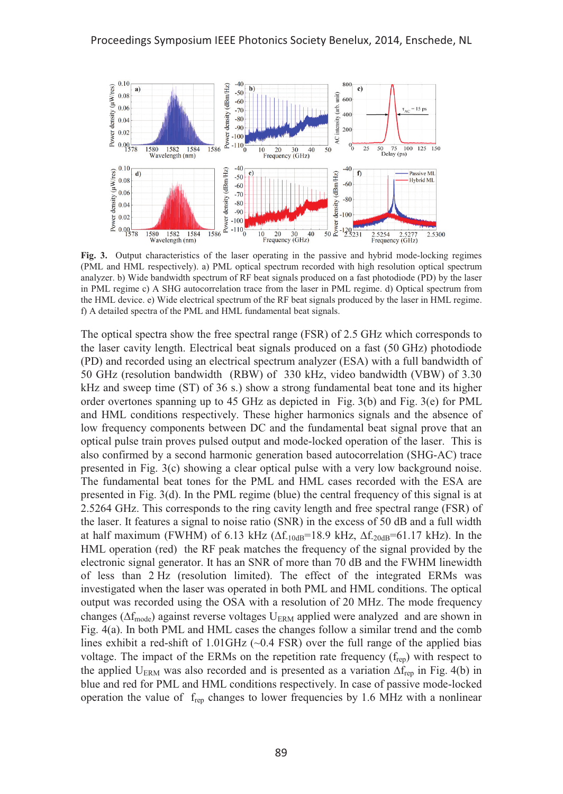

**Fig. 3.** Output characteristics of the laser operating in the passive and hybrid mode-locking regimes (PML and HML respectively). a) PML optical spectrum recorded with high resolution optical spectrum analyzer. b) Wide bandwidth spectrum of RF beat signals produced on a fast photodiode (PD) by the laser in PML regime c) A SHG autocorrelation trace from the laser in PML regime. d) Optical spectrum from the HML device. e) Wide electrical spectrum of the RF beat signals produced by the laser in HML regime. f) A detailed spectra of the PML and HML fundamental beat signals.

The optical spectra show the free spectral range (FSR) of 2.5 GHz which corresponds to the laser cavity length. Electrical beat signals produced on a fast (50 GHz) photodiode (PD) and recorded using an electrical spectrum analyzer (ESA) with a full bandwidth of 50 GHz (resolution bandwidth (RBW) of 330 kHz, video bandwidth (VBW) of 3.30 kHz and sweep time (ST) of 36 s.) show a strong fundamental beat tone and its higher order overtones spanning up to 45 GHz as depicted in Fig. 3(b) and Fig. 3(e) for PML and HML conditions respectively. These higher harmonics signals and the absence of low frequency components between DC and the fundamental beat signal prove that an optical pulse train proves pulsed output and mode-locked operation of the laser. This is also confirmed by a second harmonic generation based autocorrelation (SHG-AC) trace presented in Fig. 3(c) showing a clear optical pulse with a very low background noise. The fundamental beat tones for the PML and HML cases recorded with the ESA are presented in Fig. 3(d). In the PML regime (blue) the central frequency of this signal is at 2.5264 GHz. This corresponds to the ring cavity length and free spectral range (FSR) of the laser. It features a signal to noise ratio (SNR) in the excess of 50 dB and a full width at half maximum (FWHM) of 6.13 kHz ( $\Delta f_{10dB}$ =18.9 kHz,  $\Delta f_{20dB}$ =61.17 kHz). In the HML operation (red) the RF peak matches the frequency of the signal provided by the electronic signal generator. It has an SNR of more than 70 dB and the FWHM linewidth of less than 2 Hz (resolution limited). The effect of the integrated ERMs was investigated when the laser was operated in both PML and HML conditions. The optical output was recorded using the OSA with a resolution of 20 MHz. The mode frequency changes ( $\Delta f_{\text{mode}}$ ) against reverse voltages U<sub>ERM</sub> applied were analyzed and are shown in Fig. 4(a). In both PML and HML cases the changes follow a similar trend and the comb lines exhibit a red-shift of  $1.01 \text{GHz}$  ( $\sim 0.4 \text{FSR}$ ) over the full range of the applied bias voltage. The impact of the ERMs on the repetition rate frequency  $(f_{\text{rep}})$  with respect to the applied  $U_{\text{ERM}}$  was also recorded and is presented as a variation  $\Delta f_{\text{rep}}$  in Fig. 4(b) in blue and red for PML and HML conditions respectively. In case of passive mode-locked operation the value of  $f_{\text{rep}}$  changes to lower frequencies by 1.6 MHz with a nonlinear